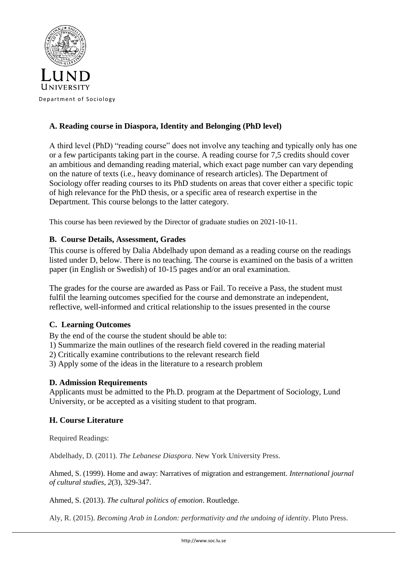

# **A. Reading course in Diaspora, Identity and Belonging (PhD level)**

A third level (PhD) "reading course" does not involve any teaching and typically only has one or a few participants taking part in the course. A reading course for 7,5 credits should cover an ambitious and demanding reading material, which exact page number can vary depending on the nature of texts (i.e., heavy dominance of research articles). The Department of Sociology offer reading courses to its PhD students on areas that cover either a specific topic of high relevance for the PhD thesis, or a specific area of research expertise in the Department. This course belongs to the latter category.

This course has been reviewed by the Director of graduate studies on 2021-10-11.

## **B. Course Details, Assessment, Grades**

This course is offered by Dalia Abdelhady upon demand as a reading course on the readings listed under D, below. There is no teaching. The course is examined on the basis of a written paper (in English or Swedish) of 10-15 pages and/or an oral examination.

The grades for the course are awarded as Pass or Fail. To receive a Pass, the student must fulfil the learning outcomes specified for the course and demonstrate an independent, reflective, well-informed and critical relationship to the issues presented in the course

## **C. Learning Outcomes**

By the end of the course the student should be able to:

1) Summarize the main outlines of the research field covered in the reading material

2) Critically examine contributions to the relevant research field

3) Apply some of the ideas in the literature to a research problem

## **D. Admission Requirements**

Applicants must be admitted to the Ph.D. program at the Department of Sociology, Lund University, or be accepted as a visiting student to that program.

## **H. Course Literature**

Required Readings:

Abdelhady, D. (2011). *The Lebanese Diaspora*. New York University Press.

Ahmed, S. (1999). Home and away: Narratives of migration and estrangement. *International journal of cultural studies*, *2*(3), 329-347.

Ahmed, S. (2013). *The cultural politics of emotion*. Routledge.

Aly, R. (2015). *Becoming Arab in London: performativity and the undoing of identity*. Pluto Press.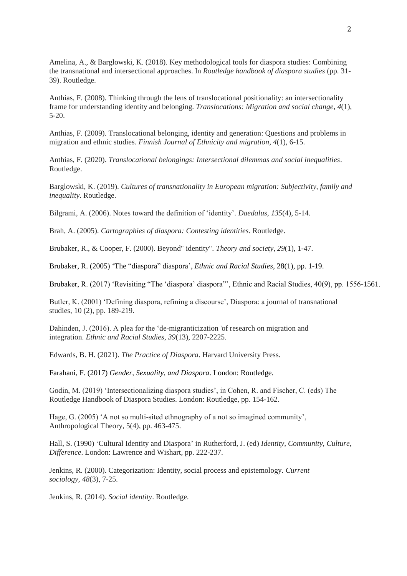Amelina, A., & Barglowski, K. (2018). Key methodological tools for diaspora studies: Combining the transnational and intersectional approaches. In *Routledge handbook of diaspora studies* (pp. 31- 39). Routledge.

Anthias, F. (2008). Thinking through the lens of translocational positionality: an intersectionality frame for understanding identity and belonging. *Translocations: Migration and social change*, *4*(1), 5-20.

Anthias, F. (2009). Translocational belonging, identity and generation: Questions and problems in migration and ethnic studies. *Finnish Journal of Ethnicity and migration*, *4*(1), 6-15.

Anthias, F. (2020). *Translocational belongings: Intersectional dilemmas and social inequalities*. Routledge.

Barglowski, K. (2019). *Cultures of transnationality in European migration: Subjectivity, family and inequality*. Routledge.

Bilgrami, A. (2006). Notes toward the definition of 'identity'. *Daedalus*, *135*(4), 5-14.

Brah, A. (2005). *Cartographies of diaspora: Contesting identities*. Routledge.

Brubaker, R., & Cooper, F. (2000). Beyond" identity". *Theory and society*, *29*(1), 1-47.

Brubaker, R. (2005) 'The "diaspora" diaspora', *Ethnic and Racial Studies*, 28(1), pp. 1-19.

Brubaker, R. (2017) 'Revisiting "The 'diaspora' diaspora"', Ethnic and Racial Studies, 40(9), pp. 1556-1561.

Butler, K. (2001) 'Defining diaspora, refining a discourse', Diaspora: a journal of transnational studies, 10 (2), pp. 189-219.

Dahinden, J. (2016). A plea for the 'de-migranticization 'of research on migration and integration. *Ethnic and Racial Studies*, *39*(13), 2207-2225.

Edwards, B. H. (2021). *The Practice of Diaspora*. Harvard University Press.

Farahani, F. (2017) *Gender, Sexuality, and Diaspora*. London: Routledge.

Godin, M. (2019) 'Intersectionalizing diaspora studies', in Cohen, R. and Fischer, C. (eds) The Routledge Handbook of Diaspora Studies. London: Routledge, pp. 154-162.

Hage, G. (2005) 'A not so multi-sited ethnography of a not so imagined community', Anthropological Theory, 5(4), pp. 463-475.

Hall, S. (1990) 'Cultural Identity and Diaspora' in Rutherford, J. (ed) *Identity, Community, Culture, Difference*. London: Lawrence and Wishart, pp. 222-237.

Jenkins, R. (2000). Categorization: Identity, social process and epistemology. *Current sociology*, *48*(3), 7-25.

Jenkins, R. (2014). *Social identity*. Routledge.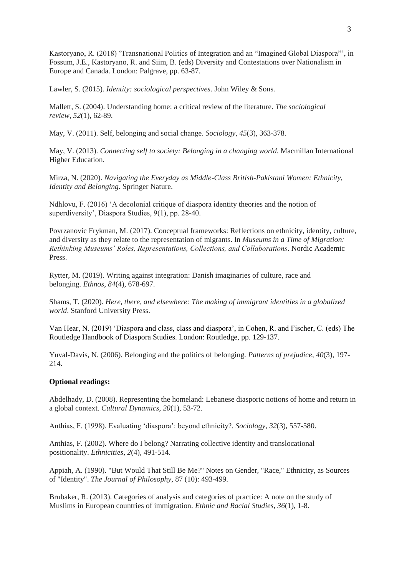Kastoryano, R. (2018) 'Transnational Politics of Integration and an "Imagined Global Diaspora"', in Fossum, J.E., Kastoryano, R. and Siim, B. (eds) Diversity and Contestations over Nationalism in Europe and Canada. London: Palgrave, pp. 63-87.

Lawler, S. (2015). *Identity: sociological perspectives*. John Wiley & Sons.

Mallett, S. (2004). Understanding home: a critical review of the literature. *The sociological review*, *52*(1), 62-89.

May, V. (2011). Self, belonging and social change. *Sociology*, *45*(3), 363-378.

May, V. (2013). *Connecting self to society: Belonging in a changing world*. Macmillan International Higher Education.

Mirza, N. (2020). *Navigating the Everyday as Middle-Class British-Pakistani Women: Ethnicity, Identity and Belonging*. Springer Nature.

Ndhlovu, F. (2016) 'A decolonial critique of diaspora identity theories and the notion of superdiversity', Diaspora Studies, 9(1), pp. 28-40.

Povrzanovic Frykman, M. (2017). Conceptual frameworks: Reflections on ethnicity, identity, culture, and diversity as they relate to the representation of migrants. In *Museums in a Time of Migration: Rethinking Museums' Roles, Representations, Collections, and Collaborations*. Nordic Academic Press.

Rytter, M. (2019). Writing against integration: Danish imaginaries of culture, race and belonging. *Ethnos*, *84*(4), 678-697.

Shams, T. (2020). *Here, there, and elsewhere: The making of immigrant identities in a globalized world*. Stanford University Press.

Van Hear, N. (2019) 'Diaspora and class, class and diaspora', in Cohen, R. and Fischer, C. (eds) The Routledge Handbook of Diaspora Studies. London: Routledge, pp. 129-137.

Yuval-Davis, N. (2006). Belonging and the politics of belonging. *Patterns of prejudice*, *40*(3), 197- 214.

### **Optional readings:**

Abdelhady, D. (2008). Representing the homeland: Lebanese diasporic notions of home and return in a global context. *Cultural Dynamics*, *20*(1), 53-72.

Anthias, F. (1998). Evaluating 'diaspora': beyond ethnicity?. *Sociology*, *32*(3), 557-580.

Anthias, F. (2002). Where do I belong? Narrating collective identity and translocational positionality. *Ethnicities*, *2*(4), 491-514.

Appiah, A. (1990). "But Would That Still Be Me?" Notes on Gender, "Race," Ethnicity, as Sources of "Identity". *The Journal of Philosophy*, 87 (10): 493-499.

Brubaker, R. (2013). Categories of analysis and categories of practice: A note on the study of Muslims in European countries of immigration. *Ethnic and Racial Studies*, *36*(1), 1-8.